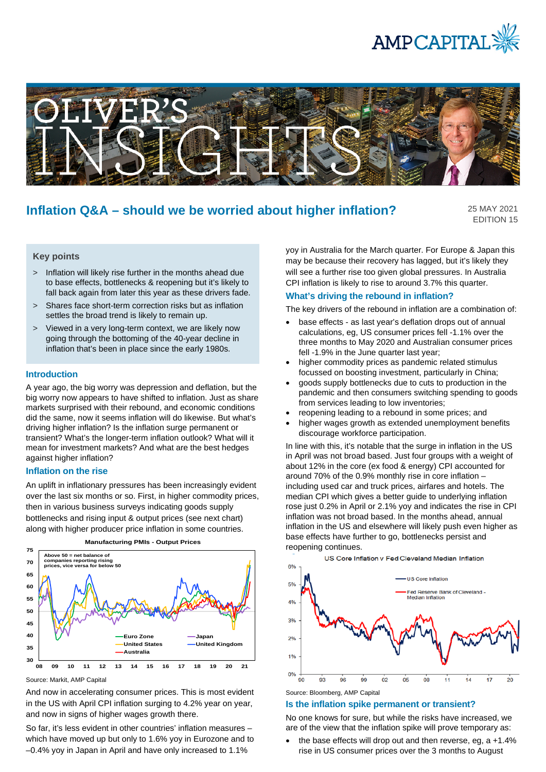



# **Inflation Q&A – should we be worried about higher inflation?**

25 MAY 2021 EDITION 15

# **Key points**

- > Inflation will likely rise further in the months ahead due to base effects, bottlenecks & reopening but it's likely to fall back again from later this year as these drivers fade.
- > Shares face short-term correction risks but as inflation settles the broad trend is likely to remain up.
- > Viewed in a very long-term context, we are likely now going through the bottoming of the 40-year decline in inflation that's been in place since the early 1980s.

#### **Introduction**

A year ago, the big worry was depression and deflation, but the big worry now appears to have shifted to inflation. Just as share markets surprised with their rebound, and economic conditions did the same, now it seems inflation will do likewise. But what's driving higher inflation? Is the inflation surge permanent or transient? What's the longer-term inflation outlook? What will it mean for investment markets? And what are the best hedges against higher inflation?

#### **Inflation on the rise**

An uplift in inflationary pressures has been increasingly evident over the last six months or so. First, in higher commodity prices, then in various business surveys indicating goods supply bottlenecks and rising input & output prices (see next chart) along with higher producer price inflation in some countries.



Source: Markit, AMP Capital

And now in accelerating consumer prices. This is most evident in the US with April CPI inflation surging to 4.2% year on year, and now in signs of higher wages growth there.

So far, it's less evident in other countries' inflation measures – which have moved up but only to 1.6% yoy in Eurozone and to –0.4% yoy in Japan in April and have only increased to 1.1%

yoy in Australia for the March quarter. For Europe & Japan this may be because their recovery has lagged, but it's likely they will see a further rise too given global pressures. In Australia CPI inflation is likely to rise to around 3.7% this quarter.

#### **What's driving the rebound in inflation?**

The key drivers of the rebound in inflation are a combination of:

- base effects as last year's deflation drops out of annual calculations, eg, US consumer prices fell -1.1% over the three months to May 2020 and Australian consumer prices fell -1.9% in the June quarter last year;
- higher commodity prices as pandemic related stimulus focussed on boosting investment, particularly in China;
- goods supply bottlenecks due to cuts to production in the pandemic and then consumers switching spending to goods from services leading to low inventories;
- reopening leading to a rebound in some prices; and
- higher wages growth as extended unemployment benefits discourage workforce participation.

In line with this, it's notable that the surge in inflation in the US in April was not broad based. Just four groups with a weight of about 12% in the core (ex food & energy) CPI accounted for around 70% of the 0.9% monthly rise in core inflation – including used car and truck prices, airfares and hotels. The median CPI which gives a better guide to underlying inflation rose just 0.2% in April or 2.1% yoy and indicates the rise in CPI inflation was not broad based. In the months ahead, annual inflation in the US and elsewhere will likely push even higher as base effects have further to go, bottlenecks persist and reopening continues.



#### Source: Bloomberg, AMP Capital

#### **Is the inflation spike permanent or transient?**

No one knows for sure, but while the risks have increased, we are of the view that the inflation spike will prove temporary as:

the base effects will drop out and then reverse, eg,  $a + 1.4\%$ rise in US consumer prices over the 3 months to August